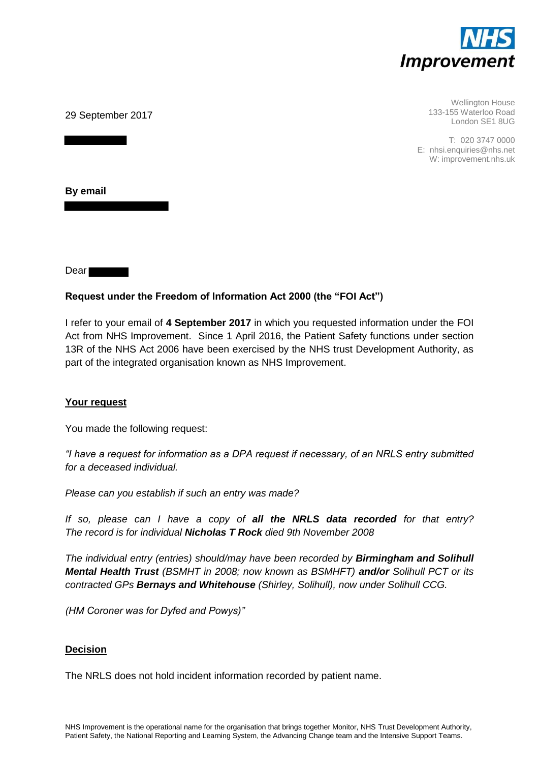

29 September 2017

Wellington House 133-155 Waterloo Road London SE1 8UG

T: 020 3747 0000 E: nhsi.enquiries@nhs.net W: improvement.nhs.uk

**By email** 

Dear **Dear** 

# **Request under the Freedom of Information Act 2000 (the "FOI Act")**

I refer to your email of **4 September 2017** in which you requested information under the FOI Act from NHS Improvement. Since 1 April 2016, the Patient Safety functions under section 13R of the NHS Act 2006 have been exercised by the NHS trust Development Authority, as part of the integrated organisation known as NHS Improvement.

## **Your request**

You made the following request:

*"I have a request for information as a DPA request if necessary, of an NRLS entry submitted for a deceased individual.* 

*Please can you establish if such an entry was made?* 

*If so, please can I have a copy of all the NRLS data recorded for that entry? The record is for individual Nicholas T Rock died 9th November 2008* 

*The individual entry (entries) should/may have been recorded by Birmingham and Solihull Mental Health Trust (BSMHT in 2008; now known as BSMHFT) and/or Solihull PCT or its contracted GPs Bernays and Whitehouse (Shirley, Solihull), now under Solihull CCG.* 

*(HM Coroner was for Dyfed and Powys)"*

## **Decision**

The NRLS does not hold incident information recorded by patient name.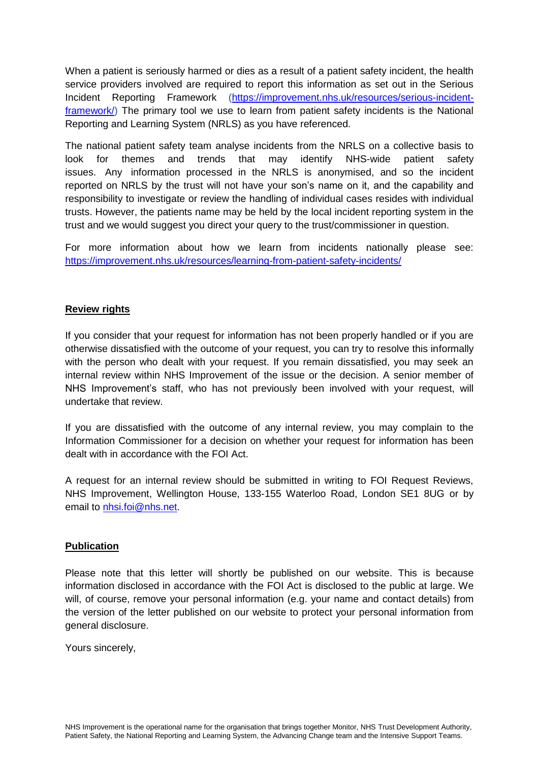When a patient is seriously harmed or dies as a result of a patient safety incident, the health service providers involved are required to report this information as set out in the Serious Incident Reporting Framework [\(https://improvement.nhs.uk/resources/serious-incident](https://improvement.nhs.uk/resources/serious-incident-framework/)[framework/\)](https://improvement.nhs.uk/resources/serious-incident-framework/) The primary tool we use to learn from patient safety incidents is the National Reporting and Learning System (NRLS) as you have referenced.

The national patient safety team analyse incidents from the NRLS on a collective basis to look for themes and trends that may identify NHS-wide patient safety issues. Any information processed in the NRLS is anonymised, and so the incident reported on NRLS by the trust will not have your son's name on it, and the capability and responsibility to investigate or review the handling of individual cases resides with individual trusts. However, the patients name may be held by the local incident reporting system in the trust and we would suggest you direct your query to the trust/commissioner in question.

For more information about how we learn from incidents nationally please see: <https://improvement.nhs.uk/resources/learning-from-patient-safety-incidents/>

# **Review rights**

If you consider that your request for information has not been properly handled or if you are otherwise dissatisfied with the outcome of your request, you can try to resolve this informally with the person who dealt with your request. If you remain dissatisfied, you may seek an internal review within NHS Improvement of the issue or the decision. A senior member of NHS Improvement's staff, who has not previously been involved with your request, will undertake that review.

If you are dissatisfied with the outcome of any internal review, you may complain to the Information Commissioner for a decision on whether your request for information has been dealt with in accordance with the FOI Act.

A request for an internal review should be submitted in writing to FOI Request Reviews, NHS Improvement, Wellington House, 133-155 Waterloo Road, London SE1 8UG or by email to [nhsi.foi@nhs.net.](mailto:nhsi.foi@nhs.net)

## **Publication**

Please note that this letter will shortly be published on our website. This is because information disclosed in accordance with the FOI Act is disclosed to the public at large. We will, of course, remove your personal information (e.g. your name and contact details) from the version of the letter published on our website to protect your personal information from general disclosure.

Yours sincerely,